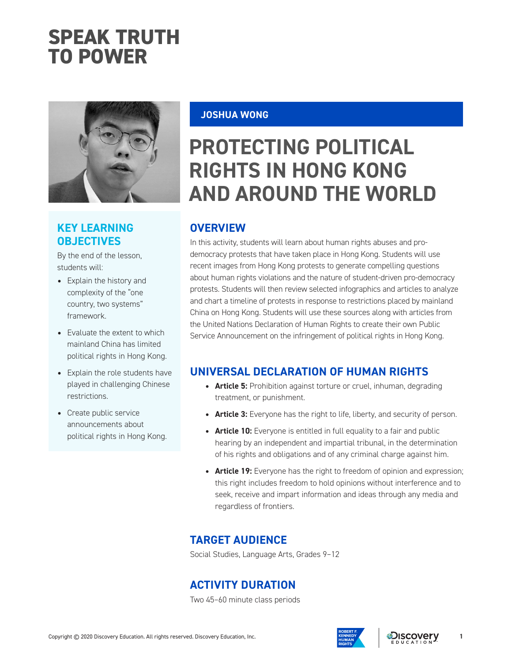# **SPEAK TRUTH TO POWER**



# **KEY LEARNING OBJECTIVES**

By the end of the lesson, students will:

- *•* Explain the history and complexity of the "one country, two systems" framework.
- *•* Evaluate the extent to which mainland China has limited political rights in Hong Kong.
- *•* Explain the role students have played in challenging Chinese restrictions.
- *•* Create public service announcements about political rights in Hong Kong.

**JOSHUA WONG**

# **PROTECTING POLITICAL RIGHTS IN HONG KONG AND AROUND THE WORLD**

# **OVERVIEW**

In this activity, students will learn about human rights abuses and prodemocracy protests that have taken place in Hong Kong. Students will use recent images from Hong Kong protests to generate compelling questions about human rights violations and the nature of student-driven pro-democracy protests. Students will then review selected infographics and articles to analyze and chart a timeline of protests in response to restrictions placed by mainland China on Hong Kong. Students will use these sources along with articles from the United Nations Declaration of Human Rights to create their own Public Service Announcement on the infringement of political rights in Hong Kong.

# **UNIVERSAL DECLARATION OF HUMAN RIGHTS**

- *•* **Article 5:** Prohibition against torture or cruel, inhuman, degrading treatment, or punishment.
- **Article 3:** Everyone has the right to life, liberty, and security of person.
- **Article 10:** Everyone is entitled in full equality to a fair and public hearing by an independent and impartial tribunal, in the determination of his rights and obligations and of any criminal charge against him.
- **Article 19:** Everyone has the right to freedom of opinion and expression; this right includes freedom to hold opinions without interference and to seek, receive and impart information and ideas through any media and regardless of frontiers.

# **TARGET AUDIENCE**

Social Studies, Language Arts, Grades 9–12

# **ACTIVITY DURATION**

Two 45–60 minute class periods



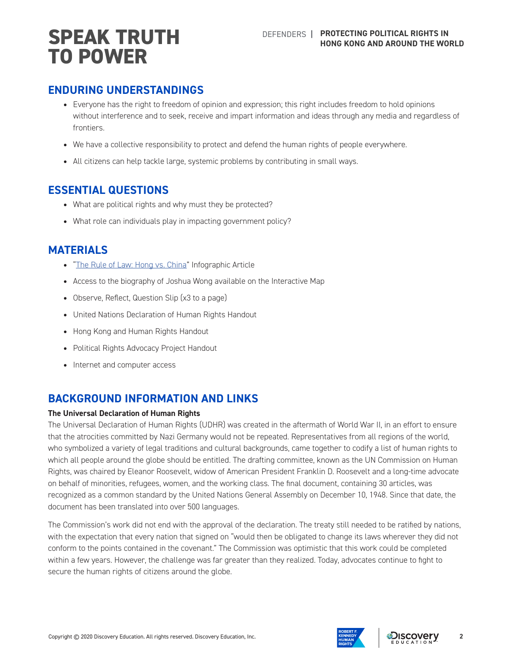# **ENDURING UNDERSTANDINGS**

- *•* Everyone has the right to freedom of opinion and expression; this right includes freedom to hold opinions without interference and to seek, receive and impart information and ideas through any media and regardless of frontiers.
- We have a collective responsibility to protect and defend the human rights of people everywhere.
- *•* All citizens can help tackle large, systemic problems by contributing in small ways.

### **ESSENTIAL QUESTIONS**

- *•* What are political rights and why must they be protected?
- *•* What role can individuals play in impacting government policy?

### **MATERIALS**

- *•* "[The Rule of Law: Hong vs. China](https://multimedia.scmp.com/infographics/news/world/article/3023351/rule-of-law/)" Infographic Article
- *•* Access to the biography of Joshua Wong available on the Interactive Map
- *•* Observe, Reflect, Question Slip (x3 to a page)
- *•* United Nations Declaration of Human Rights Handout
- *•* Hong Kong and Human Rights Handout
- *•* Political Rights Advocacy Project Handout
- *•* Internet and computer access

# **BACKGROUND INFORMATION AND LINKS**

#### **The Universal Declaration of Human Rights**

The Universal Declaration of Human Rights (UDHR) was created in the aftermath of World War II, in an effort to ensure that the atrocities committed by Nazi Germany would not be repeated. Representatives from all regions of the world, who symbolized a variety of legal traditions and cultural backgrounds, came together to codify a list of human rights to which all people around the globe should be entitled. The drafting committee, known as the UN Commission on Human Rights, was chaired by Eleanor Roosevelt, widow of American President Franklin D. Roosevelt and a long-time advocate on behalf of minorities, refugees, women, and the working class. The final document, containing 30 articles, was recognized as a common standard by the United Nations General Assembly on December 10, 1948. Since that date, the document has been translated into over 500 languages.

The Commission's work did not end with the approval of the declaration. The treaty still needed to be ratified by nations, with the expectation that every nation that signed on "would then be obligated to change its laws wherever they did not conform to the points contained in the covenant." The Commission was optimistic that this work could be completed within a few years. However, the challenge was far greater than they realized. Today, advocates continue to fight to secure the human rights of citizens around the globe.

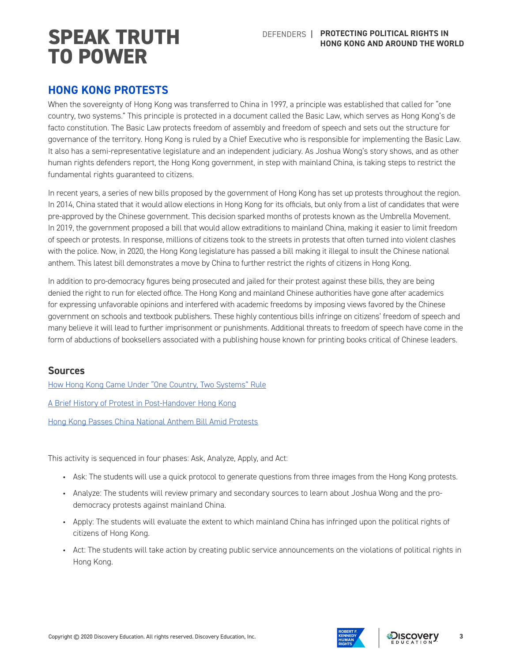### **HONG KONG PROTESTS**

When the sovereignty of Hong Kong was transferred to China in 1997, a principle was established that called for "one country, two systems." This principle is protected in a document called the Basic Law, which serves as Hong Kong's de facto constitution. The Basic Law protects freedom of assembly and freedom of speech and sets out the structure for governance of the territory. Hong Kong is ruled by a Chief Executive who is responsible for implementing the Basic Law. It also has a semi-representative legislature and an independent judiciary. As Joshua Wong's story shows, and as other human rights defenders report, the Hong Kong government, in step with mainland China, is taking steps to restrict the fundamental rights guaranteed to citizens.

In recent years, a series of new bills proposed by the government of Hong Kong has set up protests throughout the region. In 2014, China stated that it would allow elections in Hong Kong for its officials, but only from a list of candidates that were pre-approved by the Chinese government. This decision sparked months of protests known as the Umbrella Movement. In 2019, the government proposed a bill that would allow extraditions to mainland China, making it easier to limit freedom of speech or protests. In response, millions of citizens took to the streets in protests that often turned into violent clashes with the police. Now, in 2020, the Hong Kong legislature has passed a bill making it illegal to insult the Chinese national anthem. This latest bill demonstrates a move by China to further restrict the rights of citizens in Hong Kong.

In addition to pro-democracy figures being prosecuted and jailed for their protest against these bills, they are being denied the right to run for elected office. The Hong Kong and mainland Chinese authorities have gone after academics for expressing unfavorable opinions and interfered with academic freedoms by imposing views favored by the Chinese government on schools and textbook publishers. These highly contentious bills infringe on citizens' freedom of speech and many believe it will lead to further imprisonment or punishments. Additional threats to freedom of speech have come in the form of abductions of booksellers associated with a publishing house known for printing books critical of Chinese leaders.

#### **Sources**

[How Hong Kong Came Under "One Country, Two Systems" Rule](https://www.history.com/news/hong-kong-china-great-britain)

[A Brief History of Protest in Post-Handover Hong Kong](https://time.com/5606212/hong-kong-history-mass-demonstrations-protest/)

[Hong Kong Passes China National Anthem Bill Amid Protests](https://www.aljazeera.com/news/2020/06/hong-kong-passes-china-national-anthem-bill-protests-200604095358728.html)

This activity is sequenced in four phases: Ask, Analyze, Apply, and Act:

- Ask: The students will use a quick protocol to generate questions from three images from the Hong Kong protests.
- Analyze: The students will review primary and secondary sources to learn about Joshua Wong and the prodemocracy protests against mainland China.
- Apply: The students will evaluate the extent to which mainland China has infringed upon the political rights of citizens of Hong Kong.
- Act: The students will take action by creating public service announcements on the violations of political rights in Hong Kong.



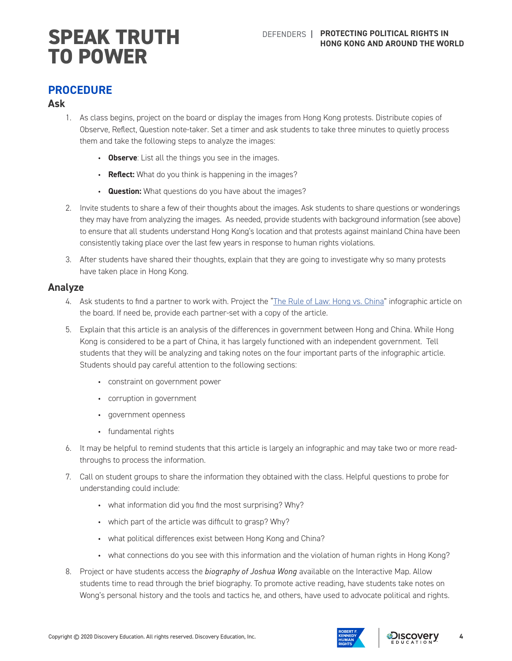#### **PROCEDURE**

#### **Ask**

- 1. As class begins, project on the board or display the images from Hong Kong protests. Distribute copies of Observe, Reflect, Question note-taker. Set a timer and ask students to take three minutes to quietly process them and take the following steps to analyze the images:
	- **Observe**: List all the things you see in the images.
	- **Reflect:** What do you think is happening in the images?
	- **Question:** What questions do you have about the images?
- 2. Invite students to share a few of their thoughts about the images. Ask students to share questions or wonderings they may have from analyzing the images. As needed, provide students with background information (see above) to ensure that all students understand Hong Kong's location and that protests against mainland China have been consistently taking place over the last few years in response to human rights violations.
- 3. After students have shared their thoughts, explain that they are going to investigate why so many protests have taken place in Hong Kong.

#### **Analyze**

- 4. Ask students to find a partner to work with. Project the "[The Rule of Law: Hong vs. China](https://multimedia.scmp.com/infographics/news/world/article/3023351/rule-of-law/)" infographic article on the board. If need be, provide each partner-set with a copy of the article.
- 5. Explain that this article is an analysis of the differences in government between Hong and China. While Hong Kong is considered to be a part of China, it has largely functioned with an independent government. Tell students that they will be analyzing and taking notes on the four important parts of the infographic article. Students should pay careful attention to the following sections:
	- constraint on government power
	- corruption in government
	- government openness
	- fundamental rights
- 6. It may be helpful to remind students that this article is largely an infographic and may take two or more readthroughs to process the information.
- 7. Call on student groups to share the information they obtained with the class. Helpful questions to probe for understanding could include:
	- what information did you find the most surprising? Why?
	- which part of the article was difficult to grasp? Why?
	- what political differences exist between Hong Kong and China?
	- what connections do you see with this information and the violation of human rights in Hong Kong?
- 8. Project or have students access the *biography of Joshua Wong* available on the Interactive Map. Allow students time to read through the brief biography. To promote active reading, have students take notes on Wong's personal history and the tools and tactics he, and others, have used to advocate political and rights.



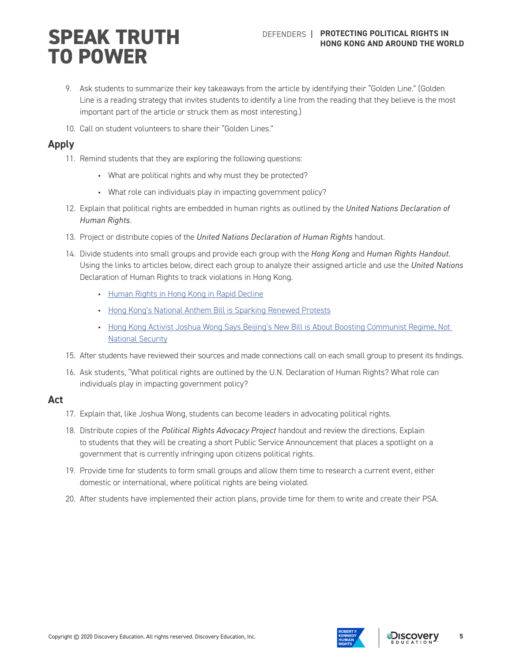- 9. Ask students to summarize their key takeaways from the article by identifying their "Golden Line." (Golden Line is a reading strategy that invites students to identify a line from the reading that they believe is the most important part of the article or struck them as most interesting.)
- 10. Call on student volunteers to share their "Golden Lines."

#### **Apply**

- 11. Remind students that they are exploring the following questions:
	- What are political rights and why must they be protected?
	- What role can individuals play in impacting government policy?
- 12. Explain that political rights are embedded in human rights as outlined by the *United Nations Declaration of Human Rights*.
- 13. Project or distribute copies of the *United Nations Declaration of Human Rights* handout.
- 14. Divide students into small groups and provide each group with the *Hong Kong* and *Human Rights Handout.* Using the links to articles below, direct each group to analyze their assigned article and use the *United Nations* Declaration of Human Rights to track violations in Hong Kong.
	- [Human Rights in Hong Kong in Rapid Decline](https://www.scmp.com/news/hong-kong/politics/article/2061203/human-rights-hong-kong-rapid-decline-global-non-profit-group)
	- [Hong Kong's National Anthem Bill is Sparking Renewed Protests](https://time.com/5842352/hong-kong-national-anthem-bill-protests/)
	- [Hong Kong Activist Joshua Wong Says Beijing's New Bill is About Boosting Communist Regime, Not](https://www.cnbc.com/2020/05/27/joshua-wong-beijing-bill-is-about-boosting-communist-regime-not-security.html)  [National Security](https://www.cnbc.com/2020/05/27/joshua-wong-beijing-bill-is-about-boosting-communist-regime-not-security.html)
- 15. After students have reviewed their sources and made connections call on each small group to present its findings.
- 16. Ask students, "What political rights are outlined by the U.N. Declaration of Human Rights? What role can individuals play in impacting government policy?

#### **Act**

- 17. Explain that, like Joshua Wong, students can become leaders in advocating political rights.
- 18. Distribute copies of the *Political Rights Advocacy Project* handout and review the directions. Explain to students that they will be creating a short Public Service Announcement that places a spotlight on a government that is currently infringing upon citizens political rights.
- 19. Provide time for students to form small groups and allow them time to research a current event, either domestic or international, where political rights are being violated.
- 20. After students have implemented their action plans, provide time for them to write and create their PSA.



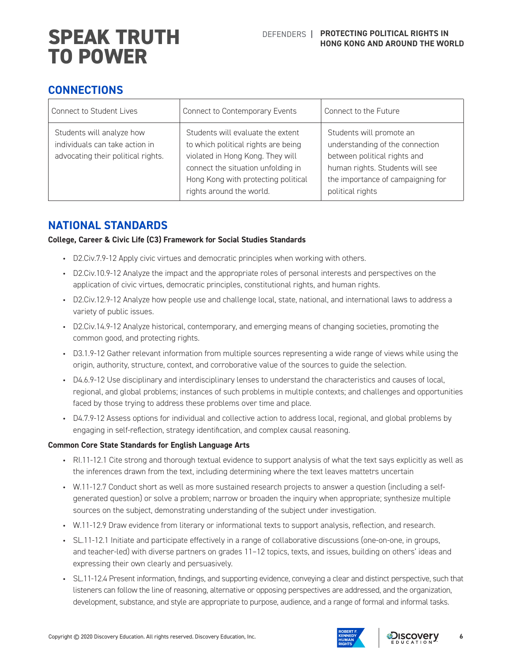# **CONNECTIONS**

| <b>Connect to Student Lives</b>                                                                   | Connect to Contemporary Events                                                                                                                                                                                        | Connect to the Future                                                                                                                                                                   |
|---------------------------------------------------------------------------------------------------|-----------------------------------------------------------------------------------------------------------------------------------------------------------------------------------------------------------------------|-----------------------------------------------------------------------------------------------------------------------------------------------------------------------------------------|
| Students will analyze how<br>individuals can take action in<br>advocating their political rights. | Students will evaluate the extent<br>to which political rights are being<br>violated in Hong Kong. They will<br>connect the situation unfolding in<br>Hong Kong with protecting political<br>rights around the world. | Students will promote an<br>understanding of the connection<br>between political rights and<br>human rights. Students will see<br>the importance of campaigning for<br>political rights |

# **NATIONAL STANDARDS**

#### **College, Career & Civic Life (C3) Framework for Social Studies Standards**

- D2.Civ.7.9-12 Apply civic virtues and democratic principles when working with others.
- D2.Civ.10.9-12 Analyze the impact and the appropriate roles of personal interests and perspectives on the application of civic virtues, democratic principles, constitutional rights, and human rights.
- D2.Civ.12.9-12 Analyze how people use and challenge local, state, national, and international laws to address a variety of public issues.
- D2.Civ.14.9-12 Analyze historical, contemporary, and emerging means of changing societies, promoting the common good, and protecting rights.
- D3.1.9-12 Gather relevant information from multiple sources representing a wide range of views while using the origin, authority, structure, context, and corroborative value of the sources to guide the selection.
- D4.6.9-12 Use disciplinary and interdisciplinary lenses to understand the characteristics and causes of local, regional, and global problems; instances of such problems in multiple contexts; and challenges and opportunities faced by those trying to address these problems over time and place.
- D4.7.9-12 Assess options for individual and collective action to address local, regional, and global problems by engaging in self-reflection, strategy identification, and complex causal reasoning.

#### **Common Core State Standards for English Language Arts**

- RI.11-12.1 Cite strong and thorough textual evidence to support analysis of what the text says explicitly as well as the inferences drawn from the text, including determining where the text leaves mattetrs uncertain
- W.11-12.7 Conduct short as well as more sustained research projects to answer a question (including a selfgenerated question) or solve a problem; narrow or broaden the inquiry when appropriate; synthesize multiple sources on the subject, demonstrating understanding of the subject under investigation.
- W.11-12.9 Draw evidence from literary or informational texts to support analysis, reflection, and research.
- SL.11-12.1 Initiate and participate effectively in a range of collaborative discussions (one-on-one, in groups, and teacher-led) with diverse partners on grades 11–12 topics, texts, and issues, building on others' ideas and expressing their own clearly and persuasively.
- SL.11-12.4 Present information, findings, and supporting evidence, conveying a clear and distinct perspective, such that listeners can follow the line of reasoning, alternative or opposing perspectives are addressed, and the organization, development, substance, and style are appropriate to purpose, audience, and a range of formal and informal tasks.



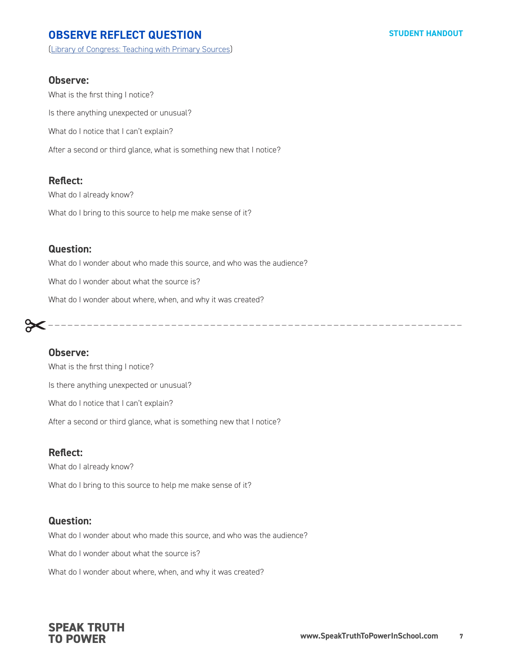# **OBSERVE REFLECT QUESTION**

[\(Library of Congress: Teaching with Primary Sources](http://www.loc.gov/teachers/usingprimarysources/guides.html))

#### **Observe:**

What is the first thing I notice? Is there anything unexpected or unusual? What do I notice that I can't explain? After a second or third glance, what is something new that I notice?

#### **Reflect:**

What do I already know?

What do I bring to this source to help me make sense of it?

#### **Question:**

What do I wonder about who made this source, and who was the audience?

What do I wonder about what the source is?

What do I wonder about where, when, and why it was created?

# \_ \_ \_ \_ \_ \_ \_ \_ \_ \_ \_ \_ \_ \_ \_ \_ \_ \_ \_ \_ \_ \_ \_ \_ \_ \_ \_ \_ \_ \_ \_ \_ \_ \_ \_ \_ \_ \_ \_ \_ \_ \_ \_ \_ \_ \_ \_ \_ \_ \_ \_ \_ \_ \_ \_ \_ \_ \_ \_ \_ \_ \_ \_ \_

#### **Observe:**

What is the first thing I notice? Is there anything unexpected or unusual? What do I notice that I can't explain? After a second or third glance, what is something new that I notice?

#### **Reflect:**

What do I already know?

What do I bring to this source to help me make sense of it?

#### **Question:**

What do I wonder about who made this source, and who was the audience?

What do I wonder about what the source is?

What do I wonder about where, when, and why it was created?

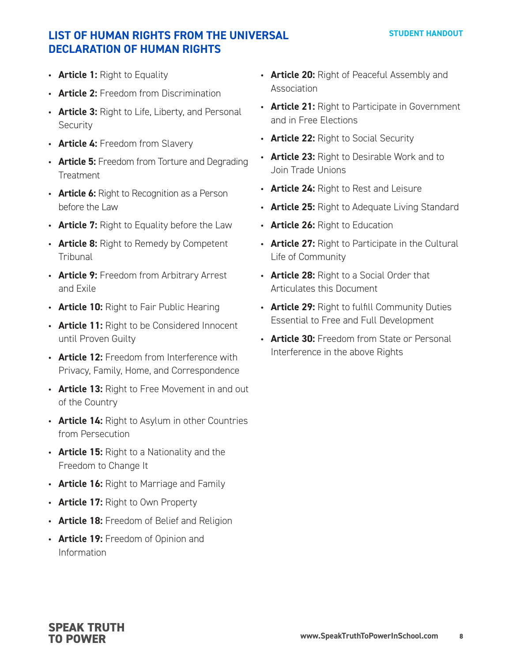# **LIST OF HUMAN RIGHTS FROM THE UNIVERSAL DECLARATION OF HUMAN RIGHTS**

- **Article 1:** Right to Equality
- **Article 2:** Freedom from Discrimination
- **Article 3:** Right to Life, Liberty, and Personal Security
- **Article 4:** Freedom from Slavery
- **Article 5:** Freedom from Torture and Degrading **Treatment**
- **Article 6:** Right to Recognition as a Person before the Law
- **Article 7:** Right to Equality before the Law
- **Article 8:** Right to Remedy by Competent **Tribunal**
- **Article 9:** Freedom from Arbitrary Arrest and Exile
- **Article 10:** Right to Fair Public Hearing
- **Article 11:** Right to be Considered Innocent until Proven Guilty
- **Article 12:** Freedom from Interference with Privacy, Family, Home, and Correspondence
- **Article 13:** Right to Free Movement in and out of the Country
- **Article 14:** Right to Asylum in other Countries from Persecution
- **Article 15:** Right to a Nationality and the Freedom to Change It
- **Article 16:** Right to Marriage and Family
- **Article 17:** Right to Own Property
- **Article 18:** Freedom of Belief and Religion
- **Article 19:** Freedom of Opinion and Information
- **Article 20:** Right of Peaceful Assembly and Association
- **Article 21:** Right to Participate in Government and in Free Elections
- **Article 22:** Right to Social Security
- **Article 23:** Right to Desirable Work and to Join Trade Unions
- **Article 24:** Right to Rest and Leisure
- **Article 25:** Right to Adequate Living Standard
- **Article 26:** Right to Education
- **Article 27:** Right to Participate in the Cultural Life of Community
- **Article 28:** Right to a Social Order that Articulates this Document
- **Article 29:** Right to fulfill Community Duties Essential to Free and Full Development
- **Article 30:** Freedom from State or Personal Interference in the above Rights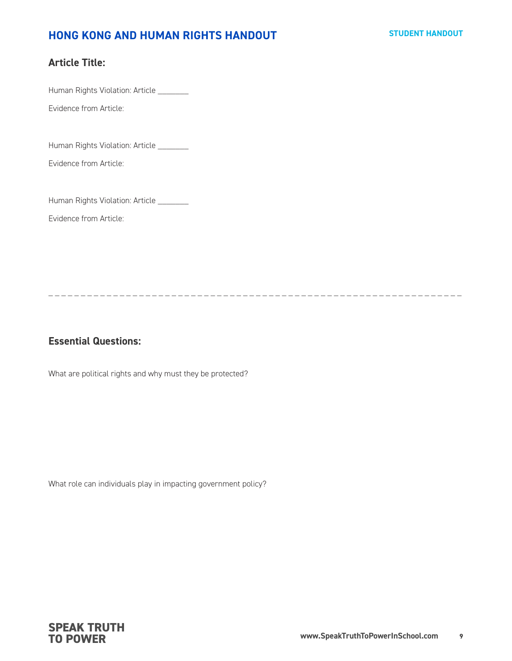#### **STUDENT HANDOUT**

### **HONG KONG AND HUMAN RIGHTS HANDOUT**

#### **Article Title:**

Human Rights Violation: Article \_\_\_\_\_\_\_

Evidence from Article:

Human Rights Violation: Article \_\_\_\_\_\_\_

Evidence from Article:

Human Rights Violation: Article \_\_\_\_\_\_\_

Evidence from Article:

\_ \_ \_ \_ \_ \_ \_ \_ \_ \_ \_ \_ \_ \_ \_ \_ \_ \_ \_ \_ \_ \_ \_ \_ \_ \_ \_ \_ \_ \_ \_ \_ \_ \_ \_ \_ \_ \_ \_ \_ \_ \_ \_ \_ \_ \_ \_ \_ \_ \_ \_ \_ \_ \_ \_ \_ \_ \_ \_ \_ \_ \_ \_ \_

### **Essential Questions:**

What are political rights and why must they be protected?

What role can individuals play in impacting government policy?

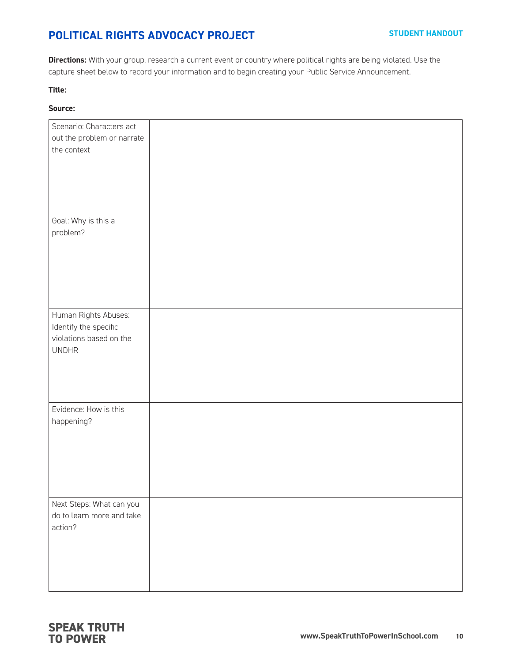# **POLITICAL RIGHTS ADVOCACY PROJECT**

**Directions:** With your group, research a current event or country where political rights are being violated. Use the capture sheet below to record your information and to begin creating your Public Service Announcement.

#### **Title:**

#### **Source:**

| Scenario: Characters act<br>out the problem or narrate<br>the context                    |  |
|------------------------------------------------------------------------------------------|--|
| Goal: Why is this a<br>problem?                                                          |  |
| Human Rights Abuses:<br>Identify the specific<br>violations based on the<br><b>UNDHR</b> |  |
| Evidence: How is this<br>happening?                                                      |  |
| Next Steps: What can you<br>do to learn more and take<br>action?                         |  |